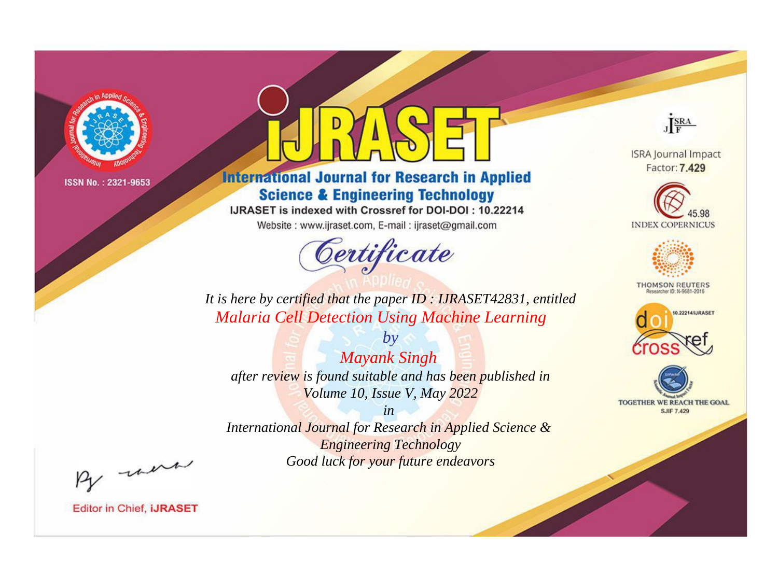

# **International Journal for Research in Applied Science & Engineering Technology**

IJRASET is indexed with Crossref for DOI-DOI: 10.22214

Website: www.ijraset.com, E-mail: ijraset@gmail.com



JERA

**ISRA Journal Impact** Factor: 7.429





**THOMSON REUTERS** 



TOGETHER WE REACH THE GOAL **SJIF 7.429** 

*It is here by certified that the paper ID : IJRASET42831, entitled Malaria Cell Detection Using Machine Learning*

*by Mayank Singh after review is found suitable and has been published in Volume 10, Issue V, May 2022*

*in* 

*International Journal for Research in Applied Science & Engineering Technology Good luck for your future endeavors*

By morn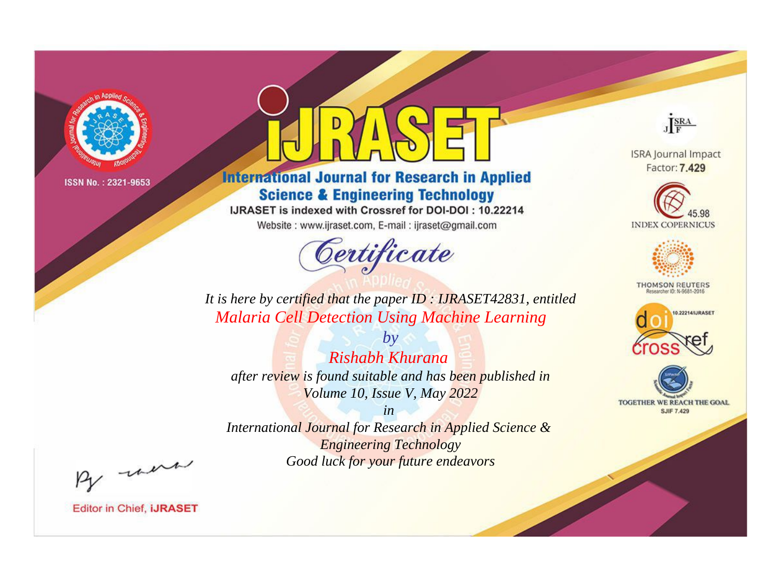

# **International Journal for Research in Applied Science & Engineering Technology**

IJRASET is indexed with Crossref for DOI-DOI: 10.22214

Website: www.ijraset.com, E-mail: ijraset@gmail.com



JERA

**ISRA Journal Impact** Factor: 7.429





**THOMSON REUTERS** 



TOGETHER WE REACH THE GOAL **SJIF 7.429** 

*It is here by certified that the paper ID : IJRASET42831, entitled Malaria Cell Detection Using Machine Learning*

*by Rishabh Khurana after review is found suitable and has been published in Volume 10, Issue V, May 2022*

*in* 

*International Journal for Research in Applied Science & Engineering Technology Good luck for your future endeavors*

By morn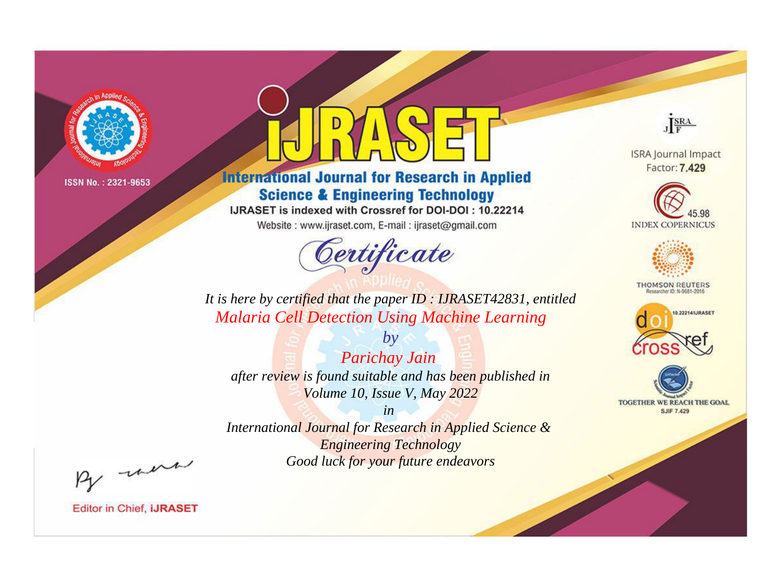

# **International Journal for Research in Applied Science & Engineering Technology**

IJRASET is indexed with Crossref for DOI-DOI: 10.22214

Website: www.ijraset.com, E-mail: ijraset@gmail.com



JERA

**ISRA Journal Impact** Factor: 7.429





**THOMSON REUTERS** 



TOGETHER WE REACH THE GOAL **SJIF 7.429** 

*It is here by certified that the paper ID : IJRASET42831, entitled Malaria Cell Detection Using Machine Learning*

*by Parichay Jain after review is found suitable and has been published in Volume 10, Issue V, May 2022*

*in* 

*International Journal for Research in Applied Science & Engineering Technology Good luck for your future endeavors*

By morn